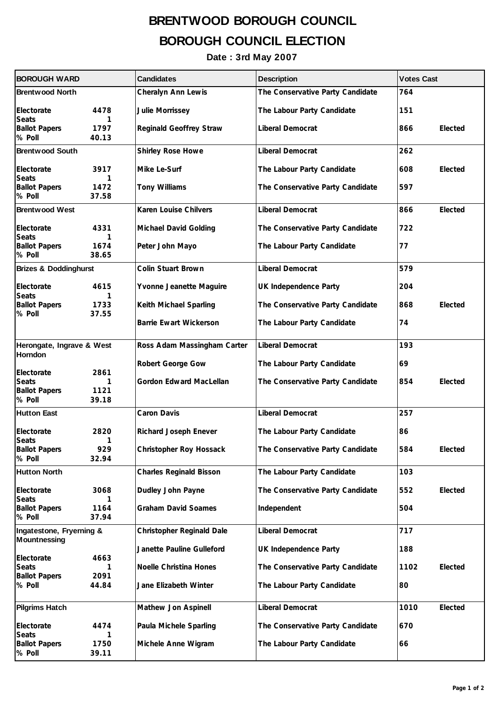## **BRENTWOOD BOROUGH COUNCIL BOROUGH COUNCIL ELECTION**

**Date : 3rd May 2007**

| <b>BOROUGH WARD</b>                                          |                            | <b>Candidates</b>              | <b>Description</b>               | <b>Votes Cast</b> |         |
|--------------------------------------------------------------|----------------------------|--------------------------------|----------------------------------|-------------------|---------|
| <b>Brentwood North</b>                                       |                            | Cheralyn Ann Lewis             | The Conservative Party Candidate | 764               |         |
| Electorate                                                   | 4478                       | Julie Morrissey                | The Labour Party Candidate       | 151               |         |
| <b>Seats</b><br><b>Ballot Papers</b><br>% Poll               | 1<br>1797<br>40.13         | <b>Reginald Geoffrey Straw</b> | Liberal Democrat                 | 866               | Elected |
| <b>Brentwood South</b>                                       |                            | Shirley Rose Howe              | Liberal Democrat                 | 262               |         |
| Electorate                                                   | 3917                       | Mike Le-Surf                   | The Labour Party Candidate       | 608               | Elected |
| <b>Seats</b><br><b>Ballot Papers</b><br>% Poll               | 1<br>1472<br>37.58         | <b>Tony Williams</b>           | The Conservative Party Candidate | 597               |         |
| <b>Brentwood West</b>                                        |                            | Karen Louise Chilvers          | Liberal Democrat                 | 866               | Elected |
| Electorate<br><b>Seats</b>                                   | 4331<br>1                  | Michael David Golding          | The Conservative Party Candidate | 722               |         |
| <b>Ballot Papers</b><br>% Poll                               | 1674<br>38.65              | Peter John Mayo                | The Labour Party Candidate       | 77                |         |
| <b>Brizes &amp; Doddinghurst</b>                             |                            | <b>Colin Stuart Brown</b>      | Liberal Democrat                 | 579               |         |
| Electorate<br><b>Seats</b>                                   | 4615<br>1                  | Yvonne Jeanette Maguire        | UK Independence Party            | 204               |         |
| <b>Ballot Papers</b><br>% Poll                               | 1733<br>37.55              | Keith Michael Sparling         | The Conservative Party Candidate | 868               | Elected |
|                                                              |                            | <b>Barrie Ewart Wickerson</b>  | The Labour Party Candidate       | 74                |         |
| Herongate, Ingrave & West                                    |                            | Ross Adam Massingham Carter    | Liberal Democrat                 | 193               |         |
| <b>Horndon</b>                                               |                            | Robert George Gow              | The Labour Party Candidate       | 69                |         |
| Electorate<br><b>Seats</b><br><b>Ballot Papers</b><br>% Poll | 2861<br>1<br>1121<br>39.18 | Gordon Edward MacLellan        | The Conservative Party Candidate | 854               | Elected |
| <b>Hutton East</b>                                           |                            | Caron Davis                    | Liberal Democrat                 | 257               |         |
| Electorate<br><b>Seats</b>                                   | 2820<br>1                  | Richard Joseph Enever          | The Labour Party Candidate       | 86                |         |
| <b>Ballot Papers</b><br>% Poll                               | 929<br>32.94               | Christopher Roy Hossack        | The Conservative Party Candidate | 584               | Elected |
| <b>Hutton North</b>                                          |                            | <b>Charles Reginald Bisson</b> | The Labour Party Candidate       | 103               |         |
| Electorate<br><b>Seats</b>                                   | 3068<br>1                  | Dudley John Payne              | The Conservative Party Candidate | 552               | Elected |
| <b>Ballot Papers</b><br>% Poll                               | 1164<br>37.94              | <b>Graham David Soames</b>     | Independent                      | 504               |         |
| Ingatestone, Fryerning &                                     |                            | Christopher Reginald Dale      | Liberal Democrat                 | 717               |         |
| Mountnessing                                                 |                            | Janette Pauline Gulleford      | UK Independence Party            | 188               |         |
| Electorate<br><b>Seats</b>                                   | 4663<br>1                  | Noelle Christina Hones         | The Conservative Party Candidate | 1102              | Elected |
| <b>Ballot Papers</b><br>% Poll                               | 2091<br>44.84              | Jane Elizabeth Winter          | The Labour Party Candidate       | 80                |         |
| <b>Pilgrims Hatch</b>                                        |                            | Mathew Jon Aspinell            | Liberal Democrat                 | 1010              | Elected |
| Electorate                                                   | 4474                       | Paula Michele Sparling         | The Conservative Party Candidate | 670               |         |
| <b>Seats</b><br><b>Ballot Papers</b><br>% Poll               | 1<br>1750<br>39.11         | Michele Anne Wigram            | The Labour Party Candidate       | 66                |         |